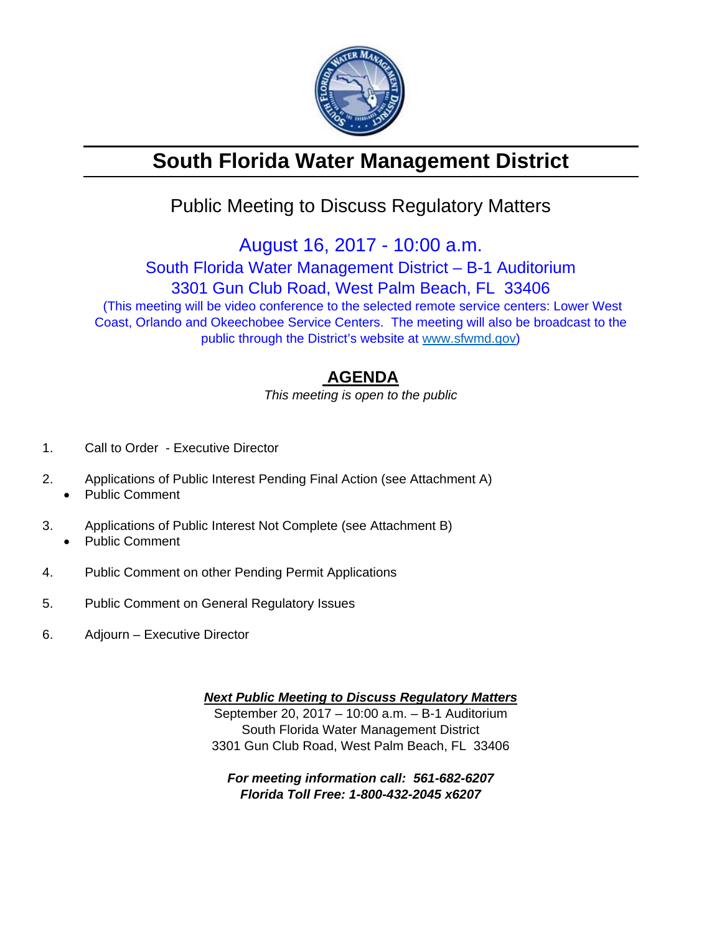

# **South Florida Water Management District**

## Public Meeting to Discuss Regulatory Matters

August 16, 2017 - 10:00 a.m.

South Florida Water Management District – B-1 Auditorium

3301 Gun Club Road, West Palm Beach, FL 33406

 (This meeting will be video conference to the selected remote service centers: Lower West Coast, Orlando and Okeechobee Service Centers. The meeting will also be broadcast to the public through the District's website at www.sfwmd.gov)

### **AGENDA**

*This meeting is open to the public* 

- 1. Call to Order Executive Director
- 2. Applications of Public Interest Pending Final Action (see Attachment A)
	- Public Comment
- 3. Applications of Public Interest Not Complete (see Attachment B) Public Comment
- 4. Public Comment on other Pending Permit Applications
- 5. Public Comment on General Regulatory Issues
- 6. Adjourn Executive Director

*Next Public Meeting to Discuss Regulatory Matters*  September 20, 2017 – 10:00 a.m. – B-1 Auditorium South Florida Water Management District 3301 Gun Club Road, West Palm Beach, FL 33406

*For meeting information call: 561-682-6207 Florida Toll Free: 1-800-432-2045 x6207*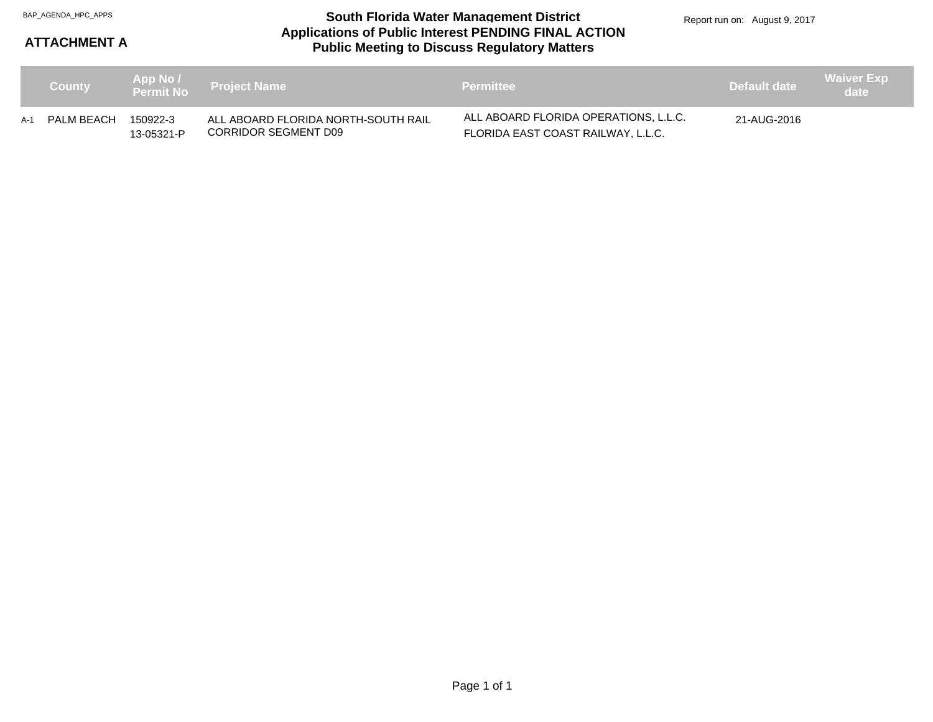#### **Applications of Public Interest PENDING FINAL ACTION Public Meeting to Discuss Regulatory Matters** BAP\_AGENDA\_HPC\_APPS **South Florida Water Management District**

Report run on: August 9, 2017

### **ATTACHMENT A**

| <b>County</b>  |                        | App No /<br>Permit No  Project Name                         | <b>Permittee</b>                                                            | Default date | <b>Waiver Exp</b><br>\date \ |
|----------------|------------------------|-------------------------------------------------------------|-----------------------------------------------------------------------------|--------------|------------------------------|
| A-1 PALM BEACH | 150922-3<br>13-05321-P | ALL ABOARD FLORIDA NORTH-SOUTH RAIL<br>CORRIDOR SEGMENT D09 | ALL ABOARD FLORIDA OPERATIONS, L.L.C.<br>FLORIDA EAST COAST RAILWAY, L.L.C. | 21-AUG-2016  |                              |